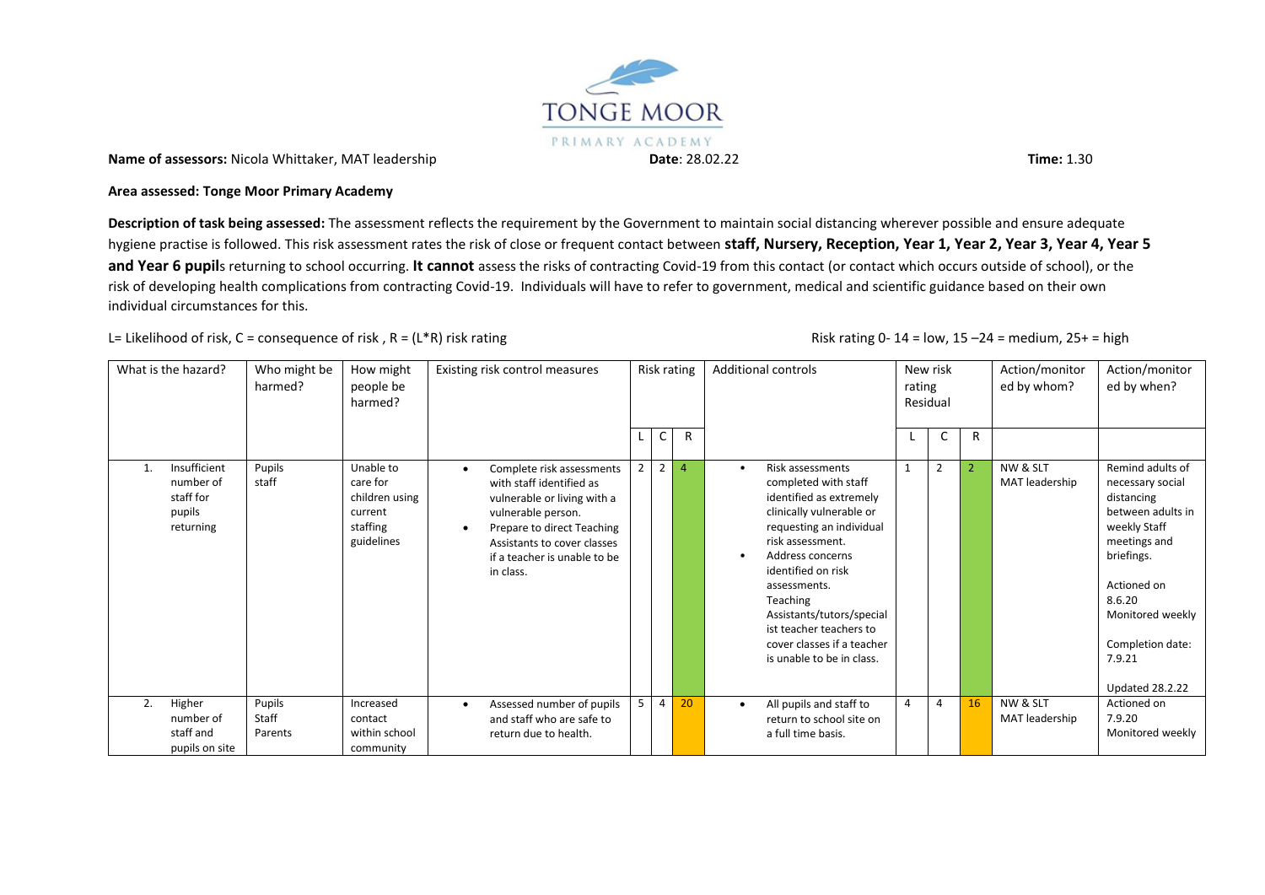

**Name of assessors:** Nicola Whittaker, MAT leadership **Date**: 28.02.22 **Time:** 1.30

#### **Area assessed: Tonge Moor Primary Academy**

**Description of task being assessed:** The assessment reflects the requirement by the Government to maintain social distancing wherever possible and ensure adequate hygiene practise is followed. This risk assessment rates the risk of close or frequent contact between **staff, Nursery, Reception, Year 1, Year 2, Year 3, Year 4, Year 5 and Year 6 pupil**s returning to school occurring. **It cannot** assess the risks of contracting Covid-19 from this contact (or contact which occurs outside of school), or the risk of developing health complications from contracting Covid-19. Individuals will have to refer to government, medical and scientific guidance based on their own individual circumstances for this.

## L= Likelihood of risk, C = consequence of risk, R = (L\*R) risk rating  $\blacksquare$  All the state of risk rating 0- 14 = low, 15 –24 = medium, 25+ = high

|    | What is the hazard?                                           | Who might be<br>harmed?    | How might<br>people be<br>harmed?                                            |                        | Existing risk control measures                                                                                                                                                                                       |                |                | Risk rating    | <b>Additional controls</b>                                                                                                                                                                                                                                                                                                               | rating | New risk<br>Residual |                | Action/monitor<br>ed by whom? | Action/monitor<br>ed by when?                                                                                                                                                                                              |
|----|---------------------------------------------------------------|----------------------------|------------------------------------------------------------------------------|------------------------|----------------------------------------------------------------------------------------------------------------------------------------------------------------------------------------------------------------------|----------------|----------------|----------------|------------------------------------------------------------------------------------------------------------------------------------------------------------------------------------------------------------------------------------------------------------------------------------------------------------------------------------------|--------|----------------------|----------------|-------------------------------|----------------------------------------------------------------------------------------------------------------------------------------------------------------------------------------------------------------------------|
|    |                                                               |                            |                                                                              |                        |                                                                                                                                                                                                                      |                | $\mathsf{C}$   | R              |                                                                                                                                                                                                                                                                                                                                          |        | U                    | R              |                               |                                                                                                                                                                                                                            |
|    | Insufficient<br>number of<br>staff for<br>pupils<br>returning | Pupils<br>staff            | Unable to<br>care for<br>children using<br>current<br>staffing<br>guidelines | $\bullet$<br>$\bullet$ | Complete risk assessments<br>with staff identified as<br>vulnerable or living with a<br>vulnerable person.<br>Prepare to direct Teaching<br>Assistants to cover classes<br>if a teacher is unable to be<br>in class. | $\overline{2}$ | $\overline{2}$ | $\overline{4}$ | Risk assessments<br>completed with staff<br>identified as extremely<br>clinically vulnerable or<br>requesting an individual<br>risk assessment.<br>Address concerns<br>identified on risk<br>assessments.<br>Teaching<br>Assistants/tutors/special<br>ist teacher teachers to<br>cover classes if a teacher<br>is unable to be in class. |        | $\overline{2}$       | $\overline{2}$ | NW & SLT<br>MAT leadership    | Remind adults of<br>necessary social<br>distancing<br>between adults in<br>weekly Staff<br>meetings and<br>briefings.<br>Actioned on<br>8.6.20<br>Monitored weekly<br>Completion date:<br>7.9.21<br><b>Updated 28.2.22</b> |
| 2. | Higher<br>number of<br>staff and<br>pupils on site            | Pupils<br>Staff<br>Parents | Increased<br>contact<br>within school<br>community                           | $\bullet$              | Assessed number of pupils<br>and staff who are safe to<br>return due to health.                                                                                                                                      | 5              | 4              | 20             | All pupils and staff to<br>return to school site on<br>a full time basis.                                                                                                                                                                                                                                                                | Δ      | $\overline{4}$       | 16             | NW & SLT<br>MAT leadership    | Actioned on<br>7.9.20<br>Monitored weekly                                                                                                                                                                                  |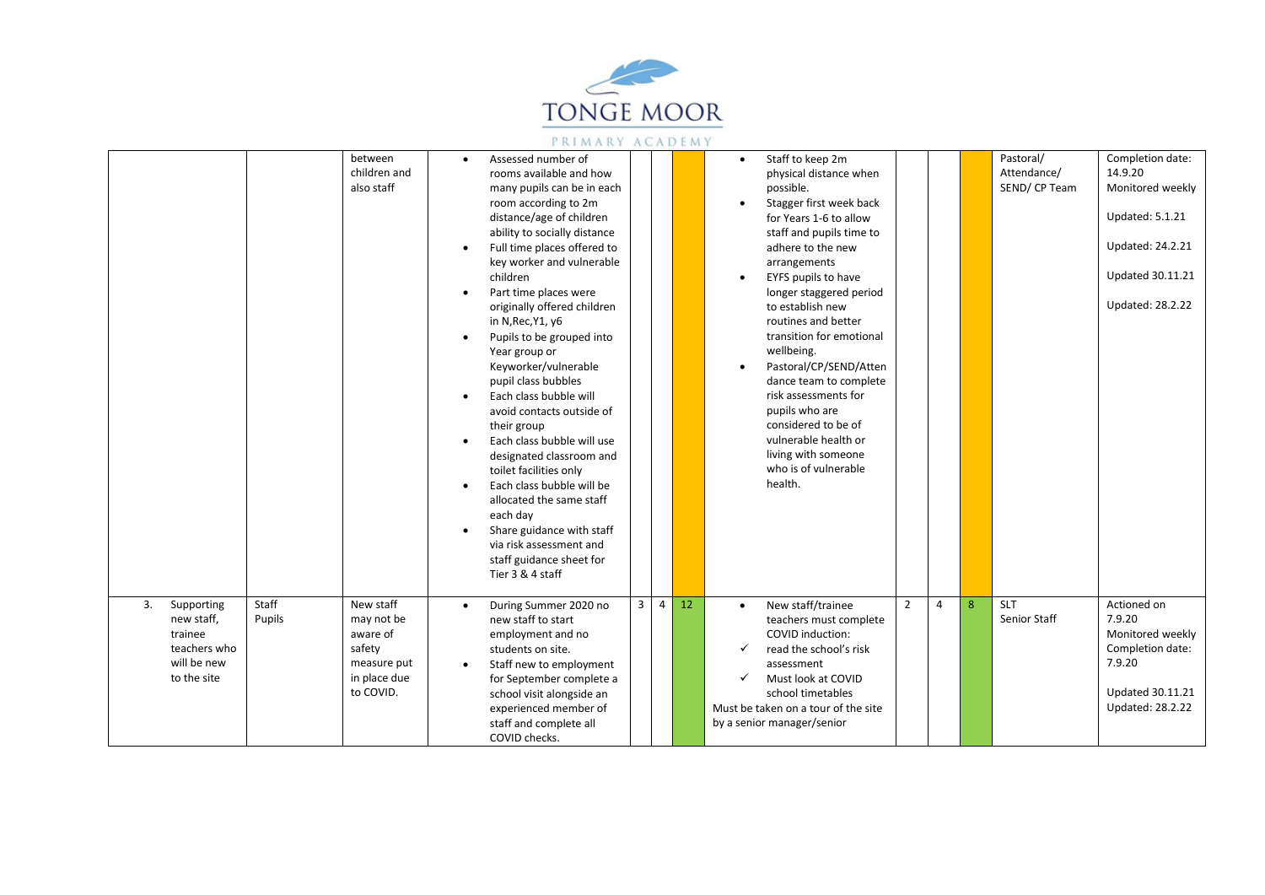

|                                                                                         |                 | between<br>children and<br>also staff                                                     | $\bullet$<br>$\bullet$<br>$\bullet$<br>$\bullet$<br>$\bullet$<br>$\bullet$ | Assessed number of<br>rooms available and how<br>many pupils can be in each<br>room according to 2m<br>distance/age of children<br>ability to socially distance<br>Full time places offered to<br>key worker and vulnerable<br>children<br>Part time places were<br>originally offered children<br>in N, Rec, Y1, y6<br>Pupils to be grouped into<br>Year group or<br>Keyworker/vulnerable<br>pupil class bubbles<br>Each class bubble will<br>avoid contacts outside of<br>their group<br>Each class bubble will use<br>designated classroom and<br>toilet facilities only<br>Each class bubble will be<br>allocated the same staff<br>each day<br>Share guidance with staff<br>via risk assessment and<br>staff guidance sheet for<br>Tier 3 & 4 staff |                |                |    | Staff to keep 2m<br>$\bullet$<br>physical distance when<br>possible.<br>Stagger first week back<br>for Years 1-6 to allow<br>staff and pupils time to<br>adhere to the new<br>arrangements<br>EYFS pupils to have<br>longer staggered period<br>to establish new<br>routines and better<br>transition for emotional<br>wellbeing.<br>Pastoral/CP/SEND/Atten<br>dance team to complete<br>risk assessments for<br>pupils who are<br>considered to be of<br>vulnerable health or<br>living with someone<br>who is of vulnerable<br>health. |                |   |   | Pastoral/<br>Attendance/<br>SEND/CP Team | Completion date:<br>14.9.20<br>Monitored weekly<br><b>Updated: 5.1.21</b><br>Updated: 24.2.21<br><b>Updated 30.11.21</b><br><b>Updated: 28.2.22</b> |
|-----------------------------------------------------------------------------------------|-----------------|-------------------------------------------------------------------------------------------|----------------------------------------------------------------------------|----------------------------------------------------------------------------------------------------------------------------------------------------------------------------------------------------------------------------------------------------------------------------------------------------------------------------------------------------------------------------------------------------------------------------------------------------------------------------------------------------------------------------------------------------------------------------------------------------------------------------------------------------------------------------------------------------------------------------------------------------------|----------------|----------------|----|------------------------------------------------------------------------------------------------------------------------------------------------------------------------------------------------------------------------------------------------------------------------------------------------------------------------------------------------------------------------------------------------------------------------------------------------------------------------------------------------------------------------------------------|----------------|---|---|------------------------------------------|-----------------------------------------------------------------------------------------------------------------------------------------------------|
| 3.<br>Supporting<br>new staff,<br>trainee<br>teachers who<br>will be new<br>to the site | Staff<br>Pupils | New staff<br>may not be<br>aware of<br>safety<br>measure put<br>in place due<br>to COVID. | $\bullet$<br>$\bullet$                                                     | During Summer 2020 no<br>new staff to start<br>employment and no<br>students on site.<br>Staff new to employment<br>for September complete a<br>school visit alongside an<br>experienced member of<br>staff and complete all<br>COVID checks.                                                                                                                                                                                                                                                                                                                                                                                                                                                                                                            | $\overline{3}$ | $\overline{4}$ | 12 | New staff/trainee<br>teachers must complete<br>COVID induction:<br>read the school's risk<br>✓<br>assessment<br>Must look at COVID<br>✓<br>school timetables<br>Must be taken on a tour of the site<br>by a senior manager/senior                                                                                                                                                                                                                                                                                                        | $\overline{2}$ | 4 | 8 | <b>SLT</b><br>Senior Staff               | Actioned on<br>7.9.20<br>Monitored weekly<br>Completion date:<br>7.9.20<br><b>Updated 30.11.21</b><br><b>Updated: 28.2.22</b>                       |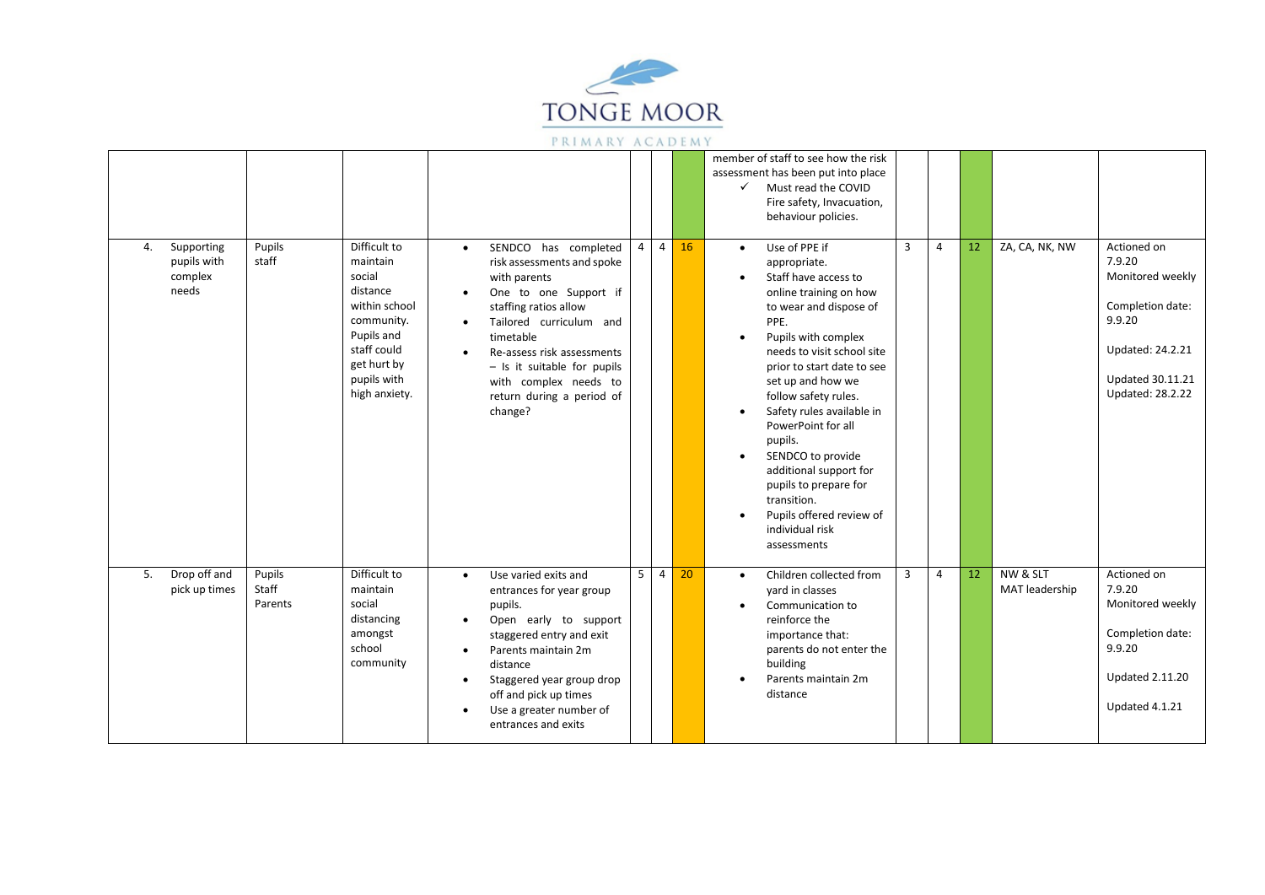

|    |                                               |                            |                                                                                                                                                           |                                                               |                                                                                                                                                                                                                                                                                              |                |                |    | member of staff to see how the risk<br>assessment has been put into place<br>✓<br>Must read the COVID<br>Fire safety, Invacuation,<br>behaviour policies.                                                                                                                                                                                                                                                                                                                                                                                                                                                                                                                                          |  |
|----|-----------------------------------------------|----------------------------|-----------------------------------------------------------------------------------------------------------------------------------------------------------|---------------------------------------------------------------|----------------------------------------------------------------------------------------------------------------------------------------------------------------------------------------------------------------------------------------------------------------------------------------------|----------------|----------------|----|----------------------------------------------------------------------------------------------------------------------------------------------------------------------------------------------------------------------------------------------------------------------------------------------------------------------------------------------------------------------------------------------------------------------------------------------------------------------------------------------------------------------------------------------------------------------------------------------------------------------------------------------------------------------------------------------------|--|
| 4. | Supporting<br>pupils with<br>complex<br>needs | Pupils<br>staff            | Difficult to<br>maintain<br>social<br>distance<br>within school<br>community.<br>Pupils and<br>staff could<br>get hurt by<br>pupils with<br>high anxiety. | $\bullet$<br>$\bullet$<br>$\bullet$<br>$\bullet$              | SENDCO has completed<br>risk assessments and spoke<br>with parents<br>One to one Support if<br>staffing ratios allow<br>Tailored curriculum and<br>timetable<br>Re-assess risk assessments<br>$-$ Is it suitable for pupils<br>with complex needs to<br>return during a period of<br>change? | $\overline{4}$ | $\overline{4}$ | 16 | $\overline{3}$<br>ZA, CA, NK, NW<br>$\overline{4}$<br>12<br>Actioned on<br>Use of PPE if<br>$\bullet$<br>7.9.20<br>appropriate.<br>Monitored weekly<br>Staff have access to<br>online training on how<br>Completion date:<br>to wear and dispose of<br>9.9.20<br>PPE.<br>Pupils with complex<br>Updated: 24.2.21<br>needs to visit school site<br>prior to start date to see<br><b>Updated 30.11.21</b><br>set up and how we<br><b>Updated: 28.2.22</b><br>follow safety rules.<br>Safety rules available in<br>PowerPoint for all<br>pupils.<br>SENDCO to provide<br>additional support for<br>pupils to prepare for<br>transition.<br>Pupils offered review of<br>individual risk<br>assessments |  |
| 5. | Drop off and<br>pick up times                 | Pupils<br>Staff<br>Parents | Difficult to<br>maintain<br>social<br>distancing<br>amongst<br>school<br>community                                                                        | $\bullet$<br>$\bullet$<br>$\bullet$<br>$\bullet$<br>$\bullet$ | Use varied exits and<br>entrances for year group<br>pupils.<br>Open early to support<br>staggered entry and exit<br>Parents maintain 2m<br>distance<br>Staggered year group drop<br>off and pick up times<br>Use a greater number of<br>entrances and exits                                  | 5              | $\overline{4}$ | 20 | NW & SLT<br>12<br>3<br>$\overline{4}$<br>Actioned on<br>Children collected from<br>$\bullet$<br>7.9.20<br>MAT leadership<br>yard in classes<br>Monitored weekly<br>Communication to<br>reinforce the<br>Completion date:<br>importance that:<br>9.9.20<br>parents do not enter the<br>building<br><b>Updated 2.11.20</b><br>Parents maintain 2m<br>distance<br>Updated 4.1.21                                                                                                                                                                                                                                                                                                                      |  |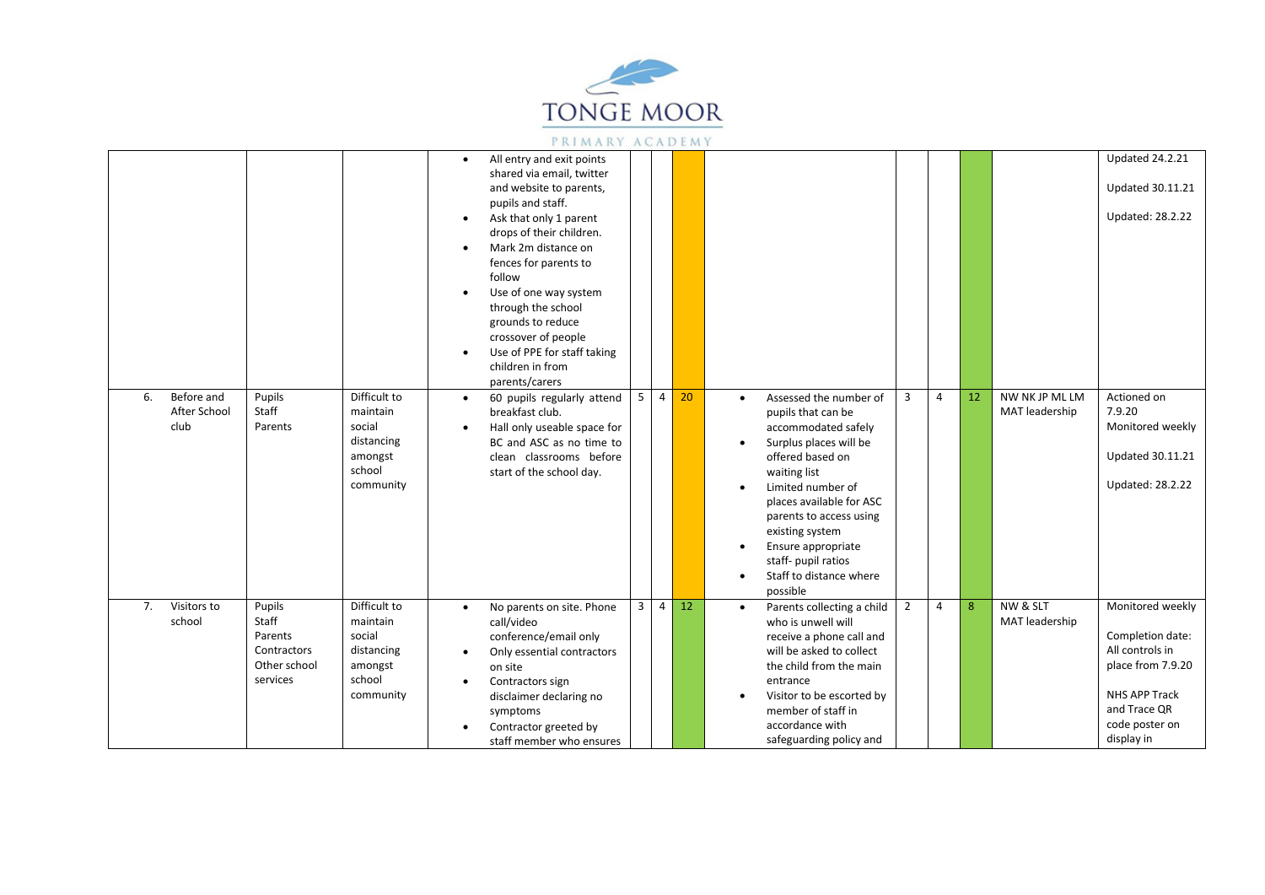

|            |                            |                                                                       |                                                                                    | $\bullet$<br>$\bullet$<br>$\bullet$ | All entry and exit points<br>shared via email, twitter<br>and website to parents,<br>pupils and staff.<br>Ask that only 1 parent<br>drops of their children.<br>Mark 2m distance on                                       |                |                |    |                        |                                                                                                                                                                                                                                                                                                                      |                |   |    |                                  | <b>Updated 24.2.21</b><br><b>Updated 30.11.21</b><br><b>Updated: 28.2.22</b>                                                                  |
|------------|----------------------------|-----------------------------------------------------------------------|------------------------------------------------------------------------------------|-------------------------------------|---------------------------------------------------------------------------------------------------------------------------------------------------------------------------------------------------------------------------|----------------|----------------|----|------------------------|----------------------------------------------------------------------------------------------------------------------------------------------------------------------------------------------------------------------------------------------------------------------------------------------------------------------|----------------|---|----|----------------------------------|-----------------------------------------------------------------------------------------------------------------------------------------------|
|            |                            |                                                                       |                                                                                    | $\bullet$<br>$\bullet$              | fences for parents to<br>follow<br>Use of one way system<br>through the school<br>grounds to reduce<br>crossover of people<br>Use of PPE for staff taking<br>children in from<br>parents/carers                           |                |                |    |                        |                                                                                                                                                                                                                                                                                                                      |                |   |    |                                  |                                                                                                                                               |
| 6.<br>club | Before and<br>After School | Pupils<br>Staff<br>Parents                                            | Difficult to<br>maintain<br>social<br>distancing<br>amongst<br>school<br>community | $\bullet$<br>$\bullet$              | 60 pupils regularly attend<br>breakfast club.<br>Hall only useable space for<br>BC and ASC as no time to<br>clean classrooms before<br>start of the school day.                                                           | 5              | $\overline{4}$ | 20 | $\bullet$<br>$\bullet$ | Assessed the number of<br>pupils that can be<br>accommodated safely<br>Surplus places will be<br>offered based on<br>waiting list<br>Limited number of<br>places available for ASC<br>parents to access using<br>existing system<br>Ensure appropriate<br>staff- pupil ratios<br>Staff to distance where<br>possible | 3              | 4 | 12 | NW NK JP ML LM<br>MAT leadership | Actioned on<br>7.9.20<br>Monitored weekly<br><b>Updated 30.11.21</b><br><b>Updated: 28.2.22</b>                                               |
| 7.         | Visitors to<br>school      | Pupils<br>Staff<br>Parents<br>Contractors<br>Other school<br>services | Difficult to<br>maintain<br>social<br>distancing<br>amongst<br>school<br>community | $\bullet$<br>$\bullet$<br>$\bullet$ | No parents on site. Phone<br>call/video<br>conference/email only<br>Only essential contractors<br>on site<br>Contractors sign<br>disclaimer declaring no<br>symptoms<br>Contractor greeted by<br>staff member who ensures | $\overline{3}$ | $\overline{a}$ | 12 | $\bullet$              | Parents collecting a child<br>who is unwell will<br>receive a phone call and<br>will be asked to collect<br>the child from the main<br>entrance<br>Visitor to be escorted by<br>member of staff in<br>accordance with<br>safeguarding policy and                                                                     | $\overline{2}$ | 4 | 8  | NW & SLT<br>MAT leadership       | Monitored weekly<br>Completion date:<br>All controls in<br>place from 7.9.20<br>NHS APP Track<br>and Trace QR<br>code poster on<br>display in |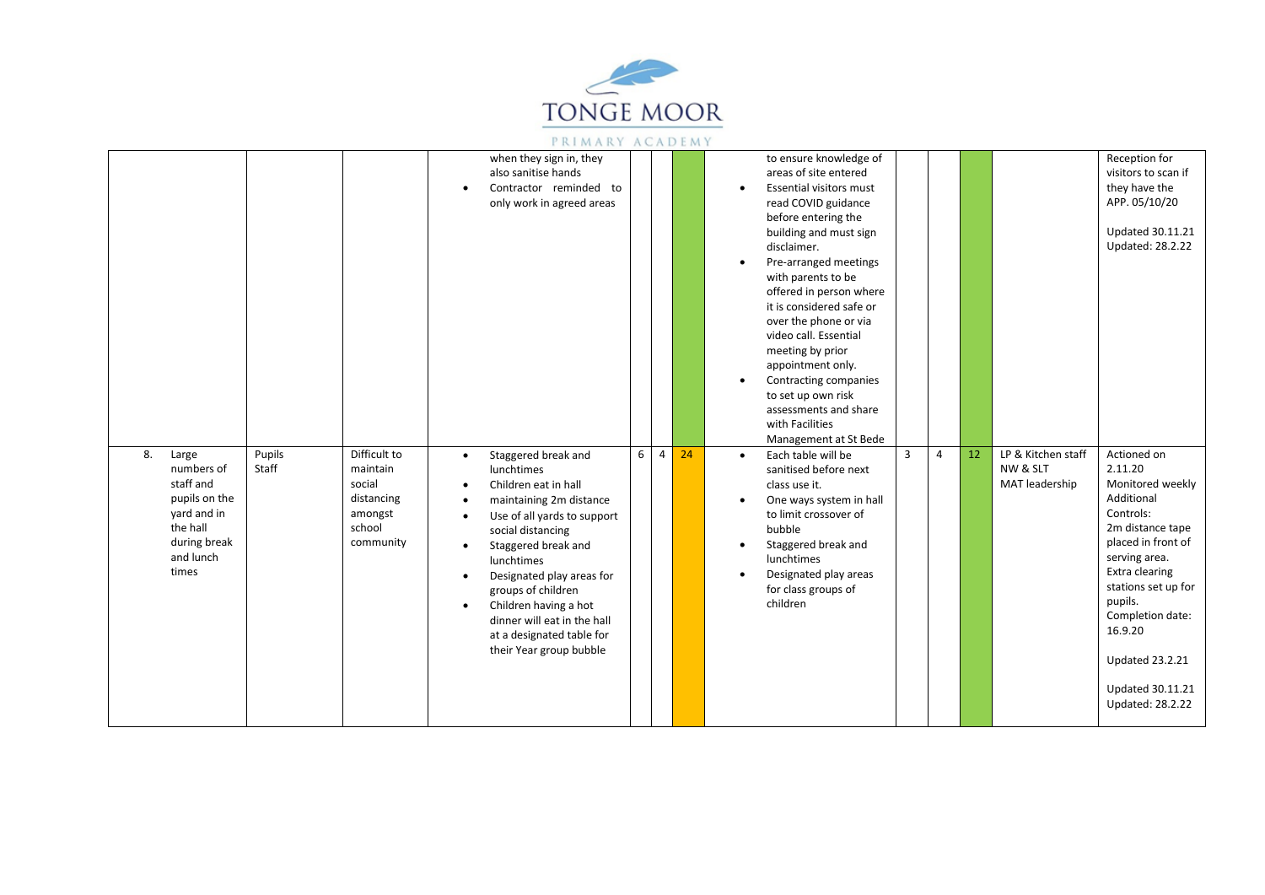

|                                                                                                                          |                 |                                                                                    | $\bullet$                                                                               | when they sign in, they<br>also sanitise hands<br>Contractor reminded to<br>only work in agreed areas                                                                                                                                                                                                                                            |   |                |    | $\bullet$              | to ensure knowledge of<br>areas of site entered<br><b>Essential visitors must</b><br>read COVID guidance<br>before entering the<br>building and must sign<br>disclaimer.<br>Pre-arranged meetings<br>with parents to be<br>offered in person where<br>it is considered safe or<br>over the phone or via<br>video call. Essential<br>meeting by prior<br>appointment only.<br>Contracting companies<br>to set up own risk<br>assessments and share<br>with Facilities<br>Management at St Bede |   |                |    |                                                  | Reception for<br>visitors to scan if<br>they have the<br>APP. 05/10/20<br><b>Updated 30.11.21</b><br>Updated: 28.2.22                                                                                                                                                                               |
|--------------------------------------------------------------------------------------------------------------------------|-----------------|------------------------------------------------------------------------------------|-----------------------------------------------------------------------------------------|--------------------------------------------------------------------------------------------------------------------------------------------------------------------------------------------------------------------------------------------------------------------------------------------------------------------------------------------------|---|----------------|----|------------------------|-----------------------------------------------------------------------------------------------------------------------------------------------------------------------------------------------------------------------------------------------------------------------------------------------------------------------------------------------------------------------------------------------------------------------------------------------------------------------------------------------|---|----------------|----|--------------------------------------------------|-----------------------------------------------------------------------------------------------------------------------------------------------------------------------------------------------------------------------------------------------------------------------------------------------------|
| 8.<br>Large<br>numbers of<br>staff and<br>pupils on the<br>yard and in<br>the hall<br>during break<br>and lunch<br>times | Pupils<br>Staff | Difficult to<br>maintain<br>social<br>distancing<br>amongst<br>school<br>community | $\bullet$<br>$\bullet$<br>$\bullet$<br>$\bullet$<br>$\bullet$<br>$\bullet$<br>$\bullet$ | Staggered break and<br>lunchtimes<br>Children eat in hall<br>maintaining 2m distance<br>Use of all yards to support<br>social distancing<br>Staggered break and<br>lunchtimes<br>Designated play areas for<br>groups of children<br>Children having a hot<br>dinner will eat in the hall<br>at a designated table for<br>their Year group bubble | 6 | $\overline{4}$ | 24 | $\bullet$<br>$\bullet$ | Each table will be<br>sanitised before next<br>class use it.<br>One ways system in hall<br>to limit crossover of<br>bubble<br>Staggered break and<br>lunchtimes<br>Designated play areas<br>for class groups of<br>children                                                                                                                                                                                                                                                                   | 3 | $\overline{4}$ | 12 | LP & Kitchen staff<br>NW & SLT<br>MAT leadership | Actioned on<br>2.11.20<br>Monitored weekly<br>Additional<br>Controls:<br>2m distance tape<br>placed in front of<br>serving area.<br>Extra clearing<br>stations set up for<br>pupils.<br>Completion date:<br>16.9.20<br><b>Updated 23.2.21</b><br><b>Updated 30.11.21</b><br><b>Updated: 28.2.22</b> |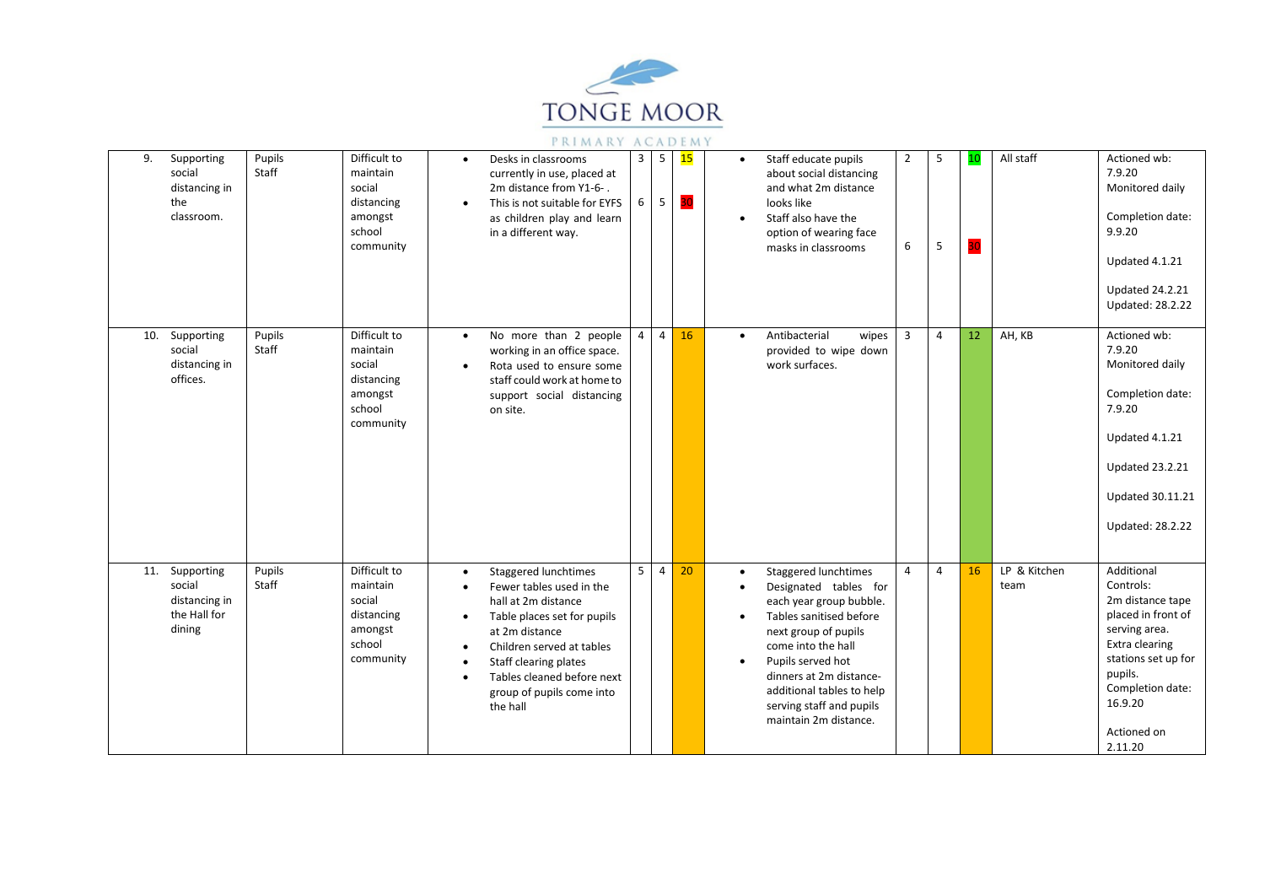

| 9.<br>Supporting<br>social<br>distancing in<br>the<br>classroom.    | Pupils<br>Staff | Difficult to<br>maintain<br>social<br>distancing<br>amongst<br>school<br>community | Desks in classrooms<br>$\bullet$<br>currently in use, placed at<br>2m distance from Y1-6-.<br>This is not suitable for EYFS<br>$\bullet$<br>as children play and learn<br>in a different way.                                                                                                                                       | $\mathbf{3}$<br>6 | 5<br>5         | 15<br>30 | Staff educate pupils<br>$\overline{2}$<br>-5<br>10<br>$\bullet$<br>about social distancing<br>and what 2m distance<br>looks like<br>Staff also have the<br>$\bullet$<br>option of wearing face<br>30<br>5<br>6<br>masks in classrooms                                                                                                              | All staff<br>Actioned wb:<br>7.9.20<br>Monitored daily<br>Completion date:<br>9.9.20<br>Updated 4.1.21<br><b>Updated 24.2.21</b><br><b>Updated: 28.2.22</b>                                                     |
|---------------------------------------------------------------------|-----------------|------------------------------------------------------------------------------------|-------------------------------------------------------------------------------------------------------------------------------------------------------------------------------------------------------------------------------------------------------------------------------------------------------------------------------------|-------------------|----------------|----------|----------------------------------------------------------------------------------------------------------------------------------------------------------------------------------------------------------------------------------------------------------------------------------------------------------------------------------------------------|-----------------------------------------------------------------------------------------------------------------------------------------------------------------------------------------------------------------|
| 10. Supporting<br>social<br>distancing in<br>offices.               | Pupils<br>Staff | Difficult to<br>maintain<br>social<br>distancing<br>amongst<br>school<br>community | No more than 2 people<br>$\bullet$<br>working in an office space.<br>Rota used to ensure some<br>$\bullet$<br>staff could work at home to<br>support social distancing<br>on site.                                                                                                                                                  | $\overline{4}$    | $\overline{4}$ | 16       | Antibacterial<br>$\overline{3}$<br>$\overline{4}$<br>12<br>wipes<br>$\bullet$<br>provided to wipe down<br>work surfaces.                                                                                                                                                                                                                           | AH, KB<br>Actioned wb:<br>7.9.20<br>Monitored daily<br>Completion date:<br>7.9.20<br>Updated 4.1.21<br><b>Updated 23.2.21</b><br><b>Updated 30.11.21</b><br>Updated: 28.2.22                                    |
| 11. Supporting<br>social<br>distancing in<br>the Hall for<br>dining | Pupils<br>Staff | Difficult to<br>maintain<br>social<br>distancing<br>amongst<br>school<br>community | Staggered lunchtimes<br>$\bullet$<br>Fewer tables used in the<br>$\bullet$<br>hall at 2m distance<br>Table places set for pupils<br>$\bullet$<br>at 2m distance<br>Children served at tables<br>$\bullet$<br>Staff clearing plates<br>$\bullet$<br>Tables cleaned before next<br>$\bullet$<br>group of pupils come into<br>the hall | 5                 | $\overline{4}$ | 20       | 16<br>Staggered lunchtimes<br>4<br>$\overline{4}$<br>$\bullet$<br>team<br>Designated tables for<br>each year group bubble.<br>Tables sanitised before<br>next group of pupils<br>come into the hall<br>Pupils served hot<br>$\bullet$<br>dinners at 2m distance-<br>additional tables to help<br>serving staff and pupils<br>maintain 2m distance. | LP & Kitchen<br>Additional<br>Controls:<br>2m distance tape<br>placed in front of<br>serving area.<br>Extra clearing<br>stations set up for<br>pupils.<br>Completion date:<br>16.9.20<br>Actioned on<br>2.11.20 |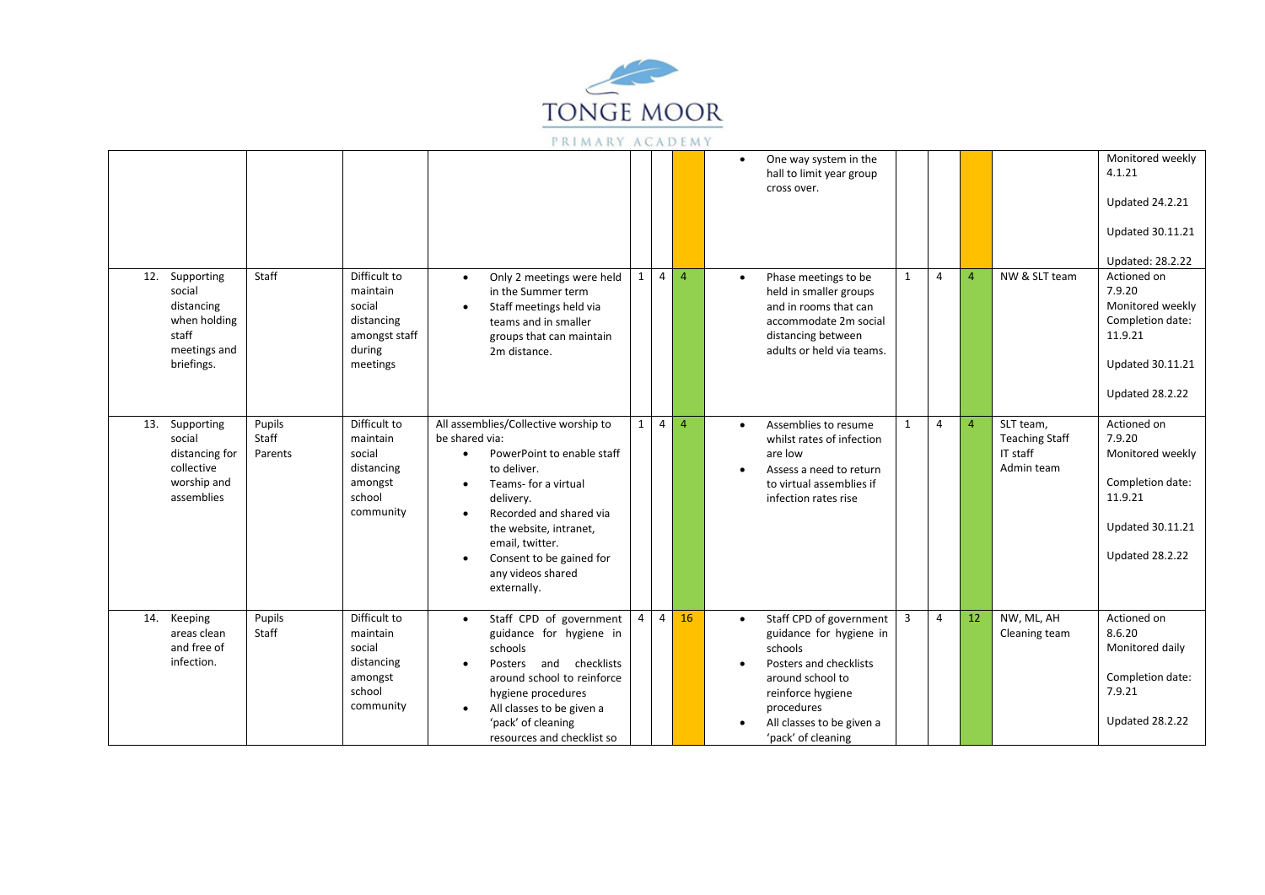

|     |                                                                                           |                            |                                                                                         |                                                                                                                                                                                                                                                                                                                                      |                |                |                | Monitored weekly<br>One way system in the<br>4.1.21<br>hall to limit year group<br>cross over.<br><b>Updated 24.2.21</b><br><b>Updated 30.11.21</b><br>Updated: 28.2.22                                                                                                                                                                                                                            |  |
|-----|-------------------------------------------------------------------------------------------|----------------------------|-----------------------------------------------------------------------------------------|--------------------------------------------------------------------------------------------------------------------------------------------------------------------------------------------------------------------------------------------------------------------------------------------------------------------------------------|----------------|----------------|----------------|----------------------------------------------------------------------------------------------------------------------------------------------------------------------------------------------------------------------------------------------------------------------------------------------------------------------------------------------------------------------------------------------------|--|
| 12. | Supporting<br>social<br>distancing<br>when holding<br>staff<br>meetings and<br>briefings. | Staff                      | Difficult to<br>maintain<br>social<br>distancing<br>amongst staff<br>during<br>meetings | Only 2 meetings were held<br>$\bullet$<br>in the Summer term<br>Staff meetings held via<br>$\bullet$<br>teams and in smaller<br>groups that can maintain<br>2m distance.                                                                                                                                                             | $\mathbf{1}$   |                | $4 \mid 4$     | $\overline{4}$<br>NW & SLT team<br>Actioned on<br>1<br>Phase meetings to be<br>$\overline{A}$<br>$\bullet$<br>7.9.20<br>held in smaller groups<br>Monitored weekly<br>and in rooms that can<br>Completion date:<br>accommodate 2m social<br>11.9.21<br>distancing between<br>adults or held via teams.<br><b>Updated 30.11.21</b><br><b>Updated 28.2.22</b>                                        |  |
| 13. | Supporting<br>social<br>distancing for<br>collective<br>worship and<br>assemblies         | Pupils<br>Staff<br>Parents | Difficult to<br>maintain<br>social<br>distancing<br>amongst<br>school<br>community      | All assemblies/Collective worship to<br>be shared via:<br>PowerPoint to enable staff<br>$\bullet$<br>to deliver.<br>Teams- for a virtual<br>$\bullet$<br>delivery.<br>Recorded and shared via<br>$\bullet$<br>the website, intranet,<br>email, twitter.<br>Consent to be gained for<br>$\bullet$<br>any videos shared<br>externally. | $\mathbf{1}$   | $\overline{4}$ | $\overline{4}$ | $\overline{4}$<br>SLT team,<br>Actioned on<br>Assemblies to resume<br>1<br>$\overline{4}$<br>$\bullet$<br>7.9.20<br><b>Teaching Staff</b><br>whilst rates of infection<br>IT staff<br>Monitored weekly<br>are low<br>Admin team<br>Assess a need to return<br>Completion date:<br>to virtual assemblies if<br>11.9.21<br>infection rates rise<br><b>Updated 30.11.21</b><br><b>Updated 28.2.22</b> |  |
| 14. | Keeping<br>areas clean<br>and free of<br>infection.                                       | Pupils<br>Staff            | Difficult to<br>maintain<br>social<br>distancing<br>amongst<br>school<br>community      | Staff CPD of government<br>$\bullet$<br>guidance for hygiene in<br>schools<br>Posters and checklists<br>around school to reinforce<br>hygiene procedures<br>All classes to be given a<br>$\bullet$<br>'pack' of cleaning<br>resources and checklist so                                                                               | $\overline{4}$ | $\overline{4}$ | 16             | $\overline{3}$<br>$\overline{4}$<br>12<br>NW, ML, AH<br>Actioned on<br>Staff CPD of government<br>$\bullet$<br>8.6.20<br>Cleaning team<br>guidance for hygiene in<br>schools<br>Monitored daily<br>Posters and checklists<br>Completion date:<br>around school to<br>7.9.21<br>reinforce hygiene<br>procedures<br><b>Updated 28.2.22</b><br>All classes to be given a<br>'pack' of cleaning        |  |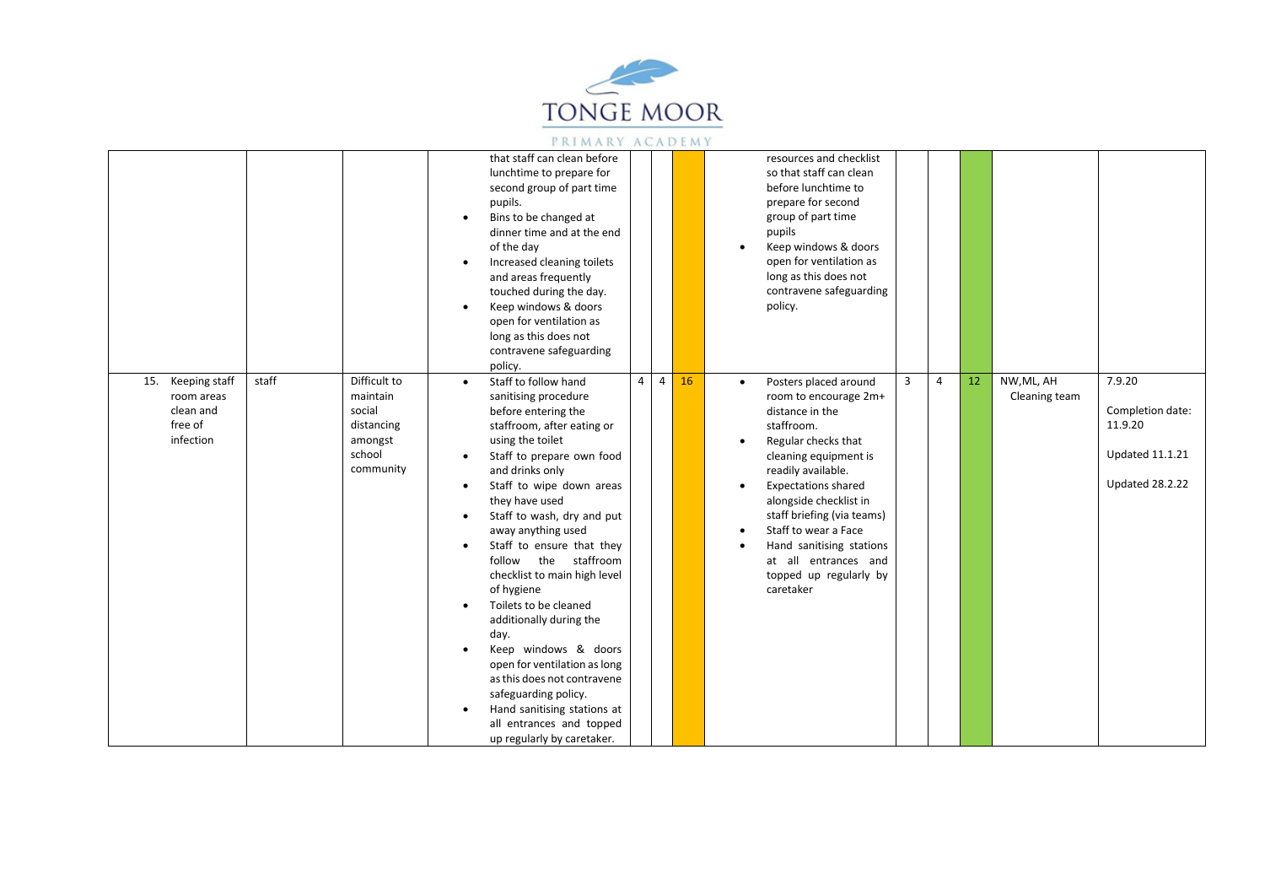

|                                                                      |       |                                                                                    | $\bullet$<br>$\bullet$<br>$\bullet$                                                     | that staff can clean before<br>lunchtime to prepare for<br>second group of part time<br>pupils.<br>Bins to be changed at<br>dinner time and at the end<br>of the day<br>Increased cleaning toilets<br>and areas frequently<br>touched during the day.<br>Keep windows & doors<br>open for ventilation as<br>long as this does not<br>contravene safeguarding<br>policy.                                                                                                                                                                                                                                                                        |                |                |    |  | resources and checklist<br>so that staff can clean<br>before lunchtime to<br>prepare for second<br>group of part time<br>pupils<br>Keep windows & doors<br>open for ventilation as<br>long as this does not<br>contravene safeguarding<br>policy.                                                                                                              |                |                |    |                             |                                                                                           |
|----------------------------------------------------------------------|-------|------------------------------------------------------------------------------------|-----------------------------------------------------------------------------------------|------------------------------------------------------------------------------------------------------------------------------------------------------------------------------------------------------------------------------------------------------------------------------------------------------------------------------------------------------------------------------------------------------------------------------------------------------------------------------------------------------------------------------------------------------------------------------------------------------------------------------------------------|----------------|----------------|----|--|----------------------------------------------------------------------------------------------------------------------------------------------------------------------------------------------------------------------------------------------------------------------------------------------------------------------------------------------------------------|----------------|----------------|----|-----------------------------|-------------------------------------------------------------------------------------------|
| 15. Keeping staff<br>room areas<br>clean and<br>free of<br>infection | staff | Difficult to<br>maintain<br>social<br>distancing<br>amongst<br>school<br>community | $\bullet$<br>$\bullet$<br>$\bullet$<br>$\bullet$<br>$\bullet$<br>$\bullet$<br>$\bullet$ | Staff to follow hand<br>sanitising procedure<br>before entering the<br>staffroom, after eating or<br>using the toilet<br>Staff to prepare own food<br>and drinks only<br>Staff to wipe down areas<br>they have used<br>Staff to wash, dry and put<br>away anything used<br>Staff to ensure that they<br>follow the staffroom<br>checklist to main high level<br>of hygiene<br>Toilets to be cleaned<br>additionally during the<br>day.<br>Keep windows & doors<br>open for ventilation as long<br>as this does not contravene<br>safeguarding policy.<br>Hand sanitising stations at<br>all entrances and topped<br>up regularly by caretaker. | $\overline{4}$ | $\overline{4}$ | 16 |  | Posters placed around<br>room to encourage 2m+<br>distance in the<br>staffroom.<br>Regular checks that<br>cleaning equipment is<br>readily available.<br><b>Expectations shared</b><br>alongside checklist in<br>staff briefing (via teams)<br>Staff to wear a Face<br>Hand sanitising stations<br>at all entrances and<br>topped up regularly by<br>caretaker | $\overline{3}$ | $\overline{4}$ | 12 | NW, ML, AH<br>Cleaning team | 7.9.20<br>Completion date:<br>11.9.20<br><b>Updated 11.1.21</b><br><b>Updated 28.2.22</b> |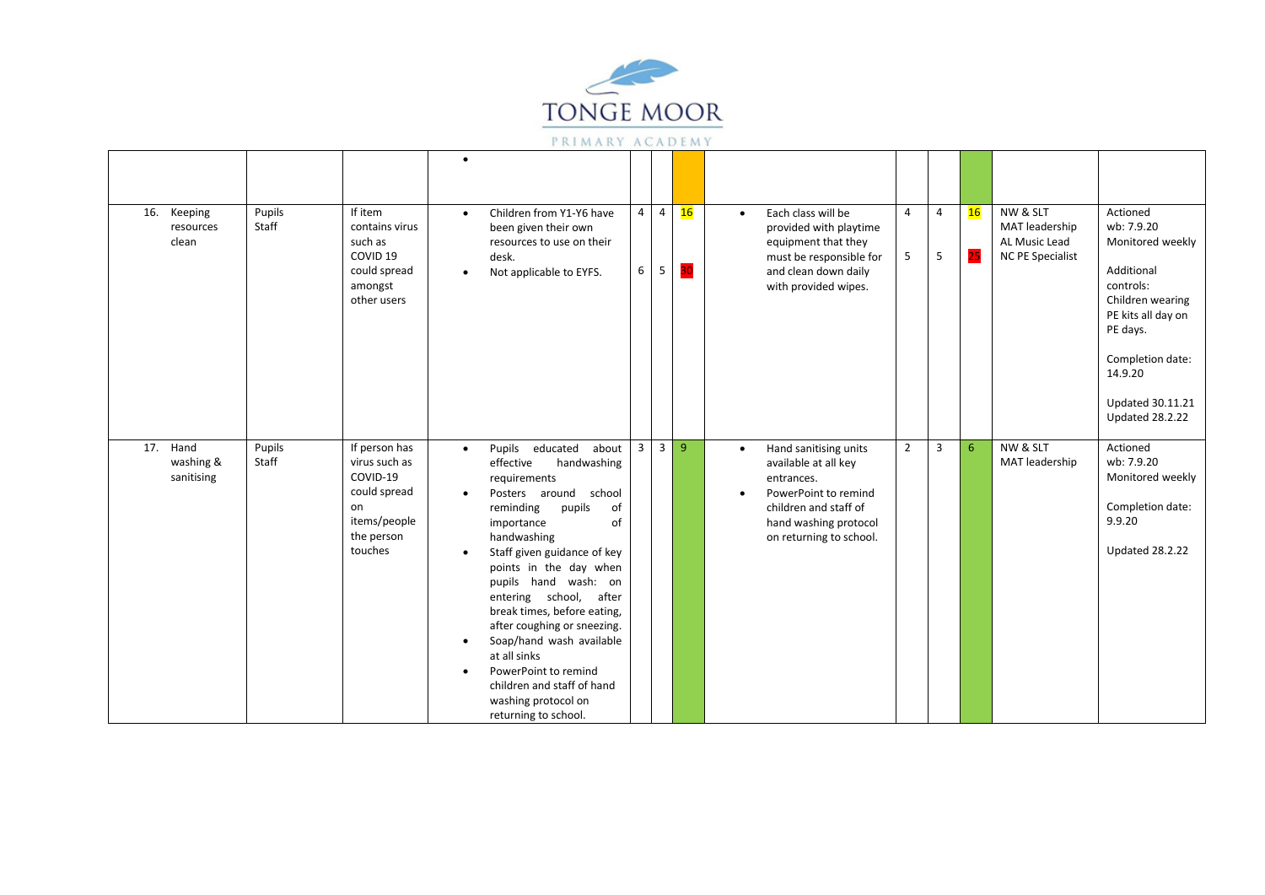

| 16. | Keeping<br>resources<br>clean       | Pupils<br>Staff | If item<br>contains virus<br>such as<br>COVID <sub>19</sub><br>could spread<br>amongst<br>other users     | $\bullet$<br>$\bullet$                                        | Children from Y1-Y6 have<br>been given their own<br>resources to use on their<br>desk.<br>Not applicable to EYFS.                                                                                                                                                                                                                                                                                                                                                                             | $\overline{4}$<br>6     | $\overline{4}$<br>5 | 16<br>30 | $\bullet$              | Each class will be<br>provided with playtime<br>equipment that they<br>must be responsible for<br>and clean down daily<br>with provided wipes.                   | $\overline{4}$<br>5 | $\overline{4}$<br>5 | 16<br>25 | NW & SLT<br>MAT leadership<br>AL Music Lead<br><b>NC PE Specialist</b> | Actioned<br>wb: 7.9.20<br>Monitored weekly<br>Additional<br>controls:<br>Children wearing<br>PE kits all day on<br>PE days.<br>Completion date:<br>14.9.20<br><b>Updated 30.11.21</b><br><b>Updated 28.2.22</b> |
|-----|-------------------------------------|-----------------|-----------------------------------------------------------------------------------------------------------|---------------------------------------------------------------|-----------------------------------------------------------------------------------------------------------------------------------------------------------------------------------------------------------------------------------------------------------------------------------------------------------------------------------------------------------------------------------------------------------------------------------------------------------------------------------------------|-------------------------|---------------------|----------|------------------------|------------------------------------------------------------------------------------------------------------------------------------------------------------------|---------------------|---------------------|----------|------------------------------------------------------------------------|-----------------------------------------------------------------------------------------------------------------------------------------------------------------------------------------------------------------|
|     | 17. Hand<br>washing &<br>sanitising | Pupils<br>Staff | If person has<br>virus such as<br>COVID-19<br>could spread<br>on<br>items/people<br>the person<br>touches | $\bullet$<br>$\bullet$<br>$\bullet$<br>$\bullet$<br>$\bullet$ | Pupils<br>educated<br>about<br>effective<br>handwashing<br>requirements<br>Posters around<br>school<br>reminding<br>pupils<br>of<br>of<br>importance<br>handwashing<br>Staff given guidance of key<br>points in the day when<br>pupils hand wash: on<br>entering school, after<br>break times, before eating,<br>after coughing or sneezing.<br>Soap/hand wash available<br>at all sinks<br>PowerPoint to remind<br>children and staff of hand<br>washing protocol on<br>returning to school. | $\overline{\mathbf{3}}$ | 3 9                 |          | $\bullet$<br>$\bullet$ | Hand sanitising units<br>available at all key<br>entrances.<br>PowerPoint to remind<br>children and staff of<br>hand washing protocol<br>on returning to school. | $\overline{2}$      | 3                   | 6        | NW & SLT<br>MAT leadership                                             | Actioned<br>wb: 7.9.20<br>Monitored weekly<br>Completion date:<br>9.9.20<br><b>Updated 28.2.22</b>                                                                                                              |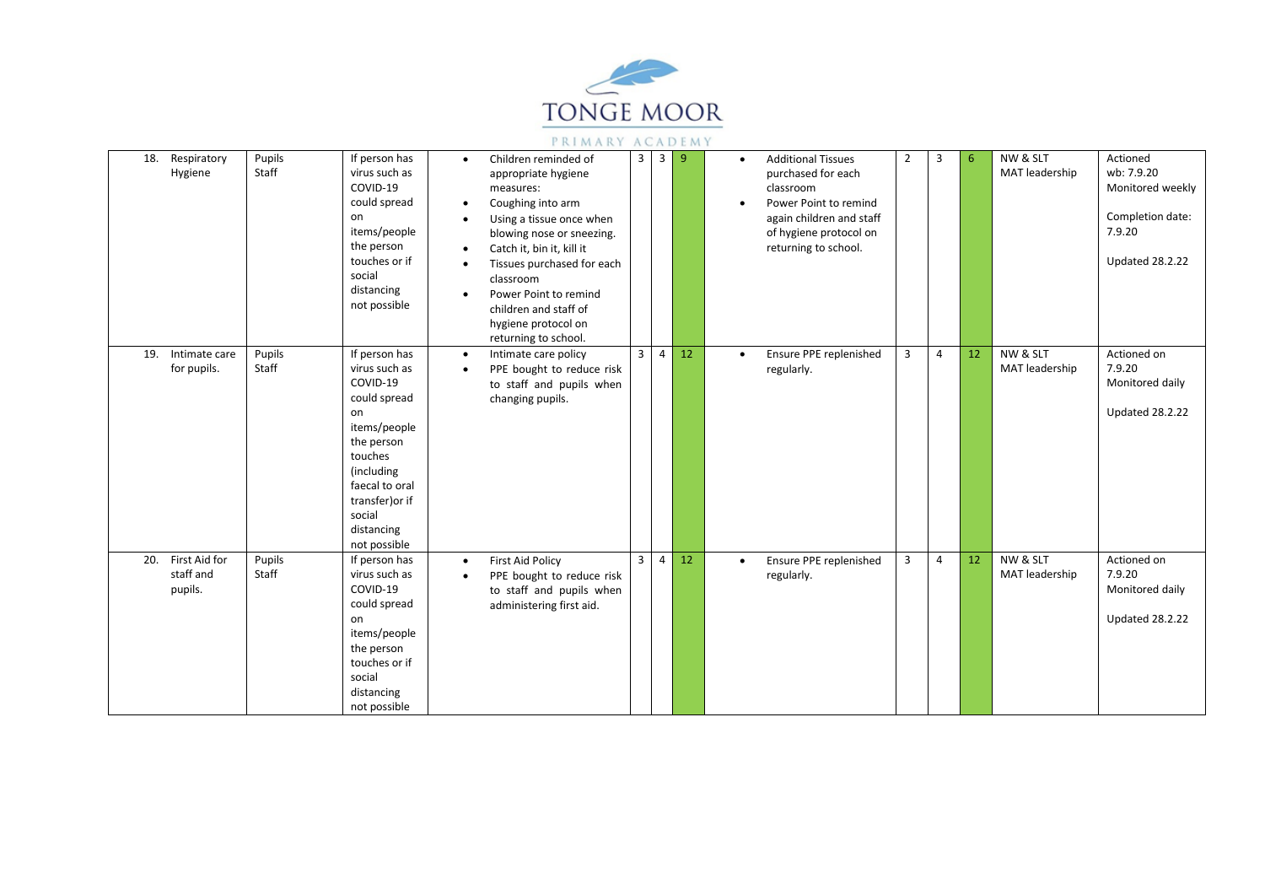

| 18. Respiratory<br>Hygiene                   | Pupils<br>Staff | If person has<br>virus such as<br>COVID-19<br>could spread<br>on<br>items/people<br>the person<br>touches or if<br>social<br>distancing<br>not possible                                              | $\bullet$<br>$\bullet$<br>$\bullet$<br>$\bullet$<br>$\bullet$<br>$\bullet$ | Children reminded of<br>appropriate hygiene<br>measures:<br>Coughing into arm<br>Using a tissue once when<br>blowing nose or sneezing.<br>Catch it, bin it, kill it<br>Tissues purchased for each<br>classroom<br>Power Point to remind<br>children and staff of<br>hygiene protocol on<br>returning to school. | 3              | 3 <sup>1</sup> | $\overline{9}$ |           | <b>Additional Tissues</b><br>purchased for each<br>classroom<br>Power Point to remind<br>again children and staff<br>of hygiene protocol on<br>returning to school. | $\overline{2}$ | 3              | 6  | NW & SLT<br>MAT leadership | Actioned<br>wb: 7.9.20<br>Monitored weekly<br>Completion date:<br>7.9.20<br><b>Updated 28.2.22</b> |
|----------------------------------------------|-----------------|------------------------------------------------------------------------------------------------------------------------------------------------------------------------------------------------------|----------------------------------------------------------------------------|-----------------------------------------------------------------------------------------------------------------------------------------------------------------------------------------------------------------------------------------------------------------------------------------------------------------|----------------|----------------|----------------|-----------|---------------------------------------------------------------------------------------------------------------------------------------------------------------------|----------------|----------------|----|----------------------------|----------------------------------------------------------------------------------------------------|
| 19. Intimate care<br>for pupils.             | Pupils<br>Staff | If person has<br>virus such as<br>COVID-19<br>could spread<br>on<br>items/people<br>the person<br>touches<br>(including<br>faecal to oral<br>transfer) or if<br>social<br>distancing<br>not possible | $\bullet$<br>$\bullet$                                                     | Intimate care policy<br>PPE bought to reduce risk<br>to staff and pupils when<br>changing pupils.                                                                                                                                                                                                               | 3 <sup>1</sup> | $\overline{4}$ | 12             | $\bullet$ | Ensure PPE replenished<br>regularly.                                                                                                                                | $\overline{3}$ | $\overline{4}$ | 12 | NW & SLT<br>MAT leadership | Actioned on<br>7.9.20<br>Monitored daily<br><b>Updated 28.2.22</b>                                 |
| First Aid for<br>20.<br>staff and<br>pupils. | Pupils<br>Staff | If person has<br>virus such as<br>COVID-19<br>could spread<br>on<br>items/people<br>the person<br>touches or if<br>social<br>distancing<br>not possible                                              | $\bullet$<br>$\bullet$                                                     | <b>First Aid Policy</b><br>PPE bought to reduce risk<br>to staff and pupils when<br>administering first aid.                                                                                                                                                                                                    | 3 <sup>7</sup> | $\overline{4}$ | 12             | $\bullet$ | Ensure PPE replenished<br>regularly.                                                                                                                                | 3              | $\overline{4}$ | 12 | NW & SLT<br>MAT leadership | Actioned on<br>7.9.20<br>Monitored daily<br><b>Updated 28.2.22</b>                                 |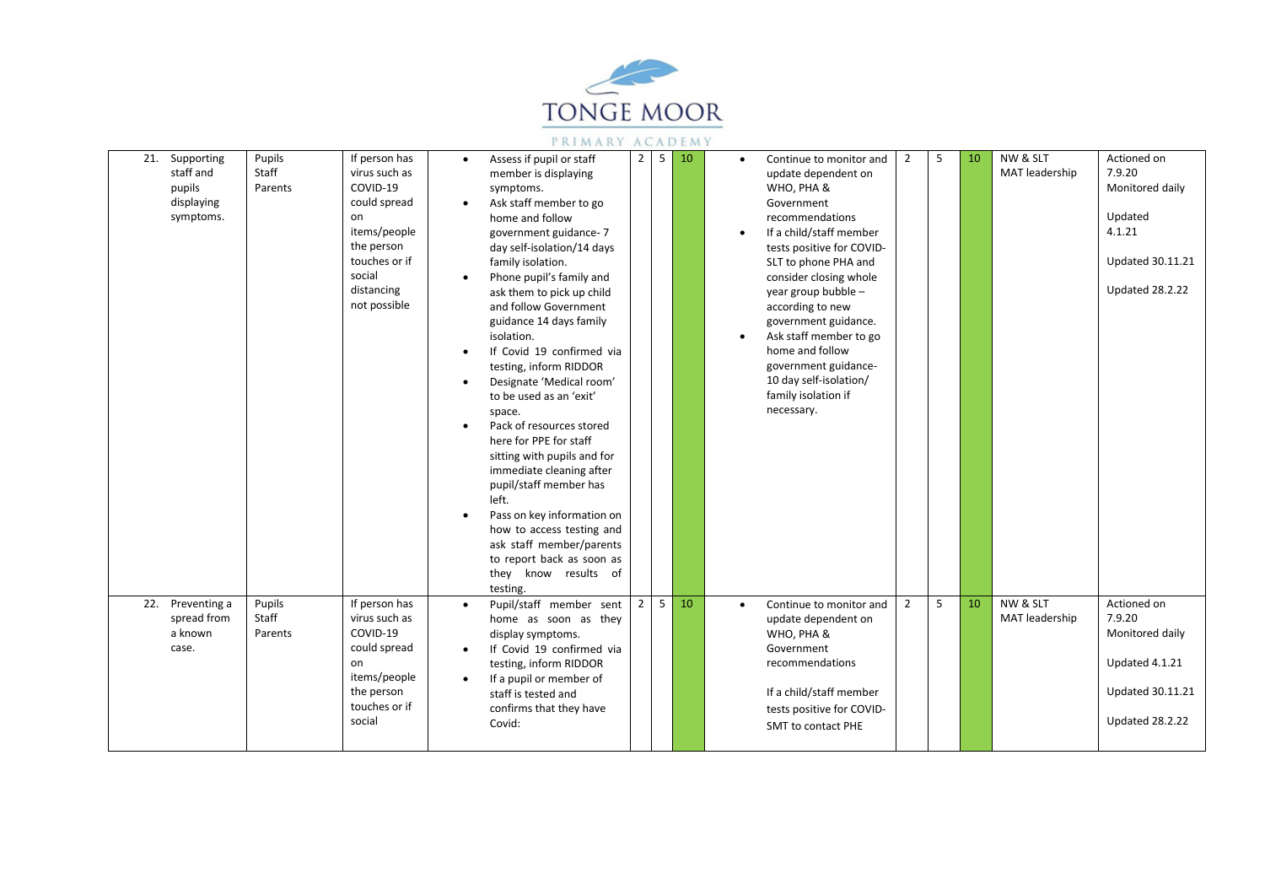

| 21. Supporting<br>staff and<br>pupils<br>displaying<br>symptoms. | Pupils<br>Staff<br>Parents | If person has<br>virus such as<br>COVID-19<br>could spread<br>on<br>items/people<br>the person<br>touches or if<br>social<br>distancing<br>not possible | $\bullet$<br>$\bullet$<br>$\bullet$<br>$\bullet$<br>$\bullet$<br>$\bullet$ | Assess if pupil or staff<br>member is displaying<br>symptoms.<br>Ask staff member to go<br>home and follow<br>government guidance-7<br>day self-isolation/14 days<br>family isolation.<br>Phone pupil's family and<br>ask them to pick up child<br>and follow Government<br>guidance 14 days family<br>isolation.<br>If Covid 19 confirmed via<br>testing, inform RIDDOR<br>Designate 'Medical room'<br>to be used as an 'exit'<br>space.<br>Pack of resources stored<br>here for PPE for staff<br>sitting with pupils and for<br>immediate cleaning after<br>pupil/staff member has<br>left.<br>Pass on key information on<br>how to access testing and<br>ask staff member/parents<br>to report back as soon as<br>they know results of | $\overline{2}$ | 5 | 10 | $\bullet$<br>$\bullet$ | Continue to monitor and<br>update dependent on<br>WHO, PHA &<br>Government<br>recommendations<br>If a child/staff member<br>tests positive for COVID-<br>SLT to phone PHA and<br>consider closing whole<br>year group bubble -<br>according to new<br>government guidance.<br>Ask staff member to go<br>home and follow<br>government guidance-<br>10 day self-isolation/<br>family isolation if<br>necessary. | $\overline{2}$ | -5 | 10 | NW & SLT<br>MAT leadership | Actioned on<br>7.9.20<br>Monitored daily<br>Updated<br>4.1.21<br><b>Updated 30.11.21</b><br>Updated 28.2.22 |
|------------------------------------------------------------------|----------------------------|---------------------------------------------------------------------------------------------------------------------------------------------------------|----------------------------------------------------------------------------|-------------------------------------------------------------------------------------------------------------------------------------------------------------------------------------------------------------------------------------------------------------------------------------------------------------------------------------------------------------------------------------------------------------------------------------------------------------------------------------------------------------------------------------------------------------------------------------------------------------------------------------------------------------------------------------------------------------------------------------------|----------------|---|----|------------------------|----------------------------------------------------------------------------------------------------------------------------------------------------------------------------------------------------------------------------------------------------------------------------------------------------------------------------------------------------------------------------------------------------------------|----------------|----|----|----------------------------|-------------------------------------------------------------------------------------------------------------|
| 22. Preventing a<br>spread from<br>a known<br>case.              | Pupils<br>Staff<br>Parents | If person has<br>virus such as<br>COVID-19<br>could spread<br>on<br>items/people<br>the person<br>touches or if<br>social                               | $\bullet$<br>$\bullet$<br>$\bullet$                                        | testing.<br>Pupil/staff member sent<br>home as soon as they<br>display symptoms.<br>If Covid 19 confirmed via<br>testing, inform RIDDOR<br>If a pupil or member of<br>staff is tested and<br>confirms that they have<br>Covid:                                                                                                                                                                                                                                                                                                                                                                                                                                                                                                            | $\overline{2}$ | 5 | 10 | $\bullet$              | Continue to monitor and<br>update dependent on<br>WHO, PHA &<br>Government<br>recommendations<br>If a child/staff member<br>tests positive for COVID-<br><b>SMT to contact PHE</b>                                                                                                                                                                                                                             | $\overline{2}$ | 5  | 10 | NW & SLT<br>MAT leadership | Actioned on<br>7.9.20<br>Monitored daily<br>Updated 4.1.21<br><b>Updated 30.11.21</b><br>Updated 28.2.22    |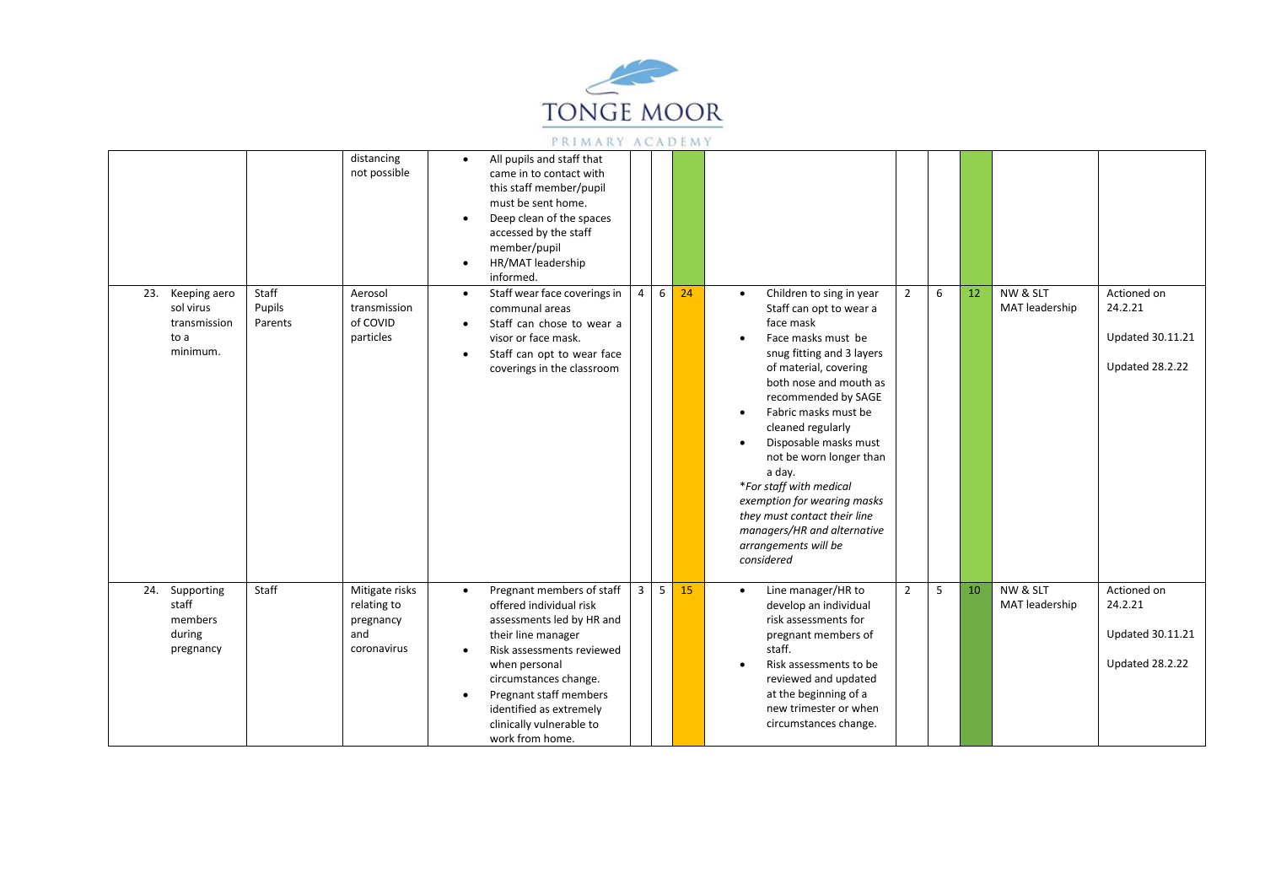

|                                                                      |                            | distancing<br>not possible                                       | $\bullet$<br>$\bullet$<br>$\bullet$ | All pupils and staff that<br>came in to contact with<br>this staff member/pupil<br>must be sent home.<br>Deep clean of the spaces<br>accessed by the staff<br>member/pupil<br>HR/MAT leadership<br>informed.                                                                       |                |   |    |                                                                                                                                                                                                                                                                                                                                                                                                                                                                                                                                                                                                                                                                       |
|----------------------------------------------------------------------|----------------------------|------------------------------------------------------------------|-------------------------------------|------------------------------------------------------------------------------------------------------------------------------------------------------------------------------------------------------------------------------------------------------------------------------------|----------------|---|----|-----------------------------------------------------------------------------------------------------------------------------------------------------------------------------------------------------------------------------------------------------------------------------------------------------------------------------------------------------------------------------------------------------------------------------------------------------------------------------------------------------------------------------------------------------------------------------------------------------------------------------------------------------------------------|
| 23.<br>Keeping aero<br>sol virus<br>transmission<br>to a<br>minimum. | Staff<br>Pupils<br>Parents | Aerosol<br>transmission<br>of COVID<br>particles                 | $\bullet$<br>$\bullet$<br>$\bullet$ | Staff wear face coverings in<br>communal areas<br>Staff can chose to wear a<br>visor or face mask.<br>Staff can opt to wear face<br>coverings in the classroom                                                                                                                     | $\overline{4}$ | 6 | 24 | NW & SLT<br>$\overline{2}$<br>6<br>12<br>Actioned on<br>Children to sing in year<br>$\bullet$<br>MAT leadership<br>24.2.21<br>Staff can opt to wear a<br>face mask<br><b>Updated 30.11.21</b><br>Face masks must be<br>$\bullet$<br>snug fitting and 3 layers<br><b>Updated 28.2.22</b><br>of material, covering<br>both nose and mouth as<br>recommended by SAGE<br>Fabric masks must be<br>$\bullet$<br>cleaned regularly<br>Disposable masks must<br>$\bullet$<br>not be worn longer than<br>a day.<br>*For staff with medical<br>exemption for wearing masks<br>they must contact their line<br>managers/HR and alternative<br>arrangements will be<br>considered |
| 24. Supporting<br>staff<br>members<br>during<br>pregnancy            | Staff                      | Mitigate risks<br>relating to<br>pregnancy<br>and<br>coronavirus | $\bullet$<br>$\bullet$<br>$\bullet$ | Pregnant members of staff<br>offered individual risk<br>assessments led by HR and<br>their line manager<br>Risk assessments reviewed<br>when personal<br>circumstances change.<br>Pregnant staff members<br>identified as extremely<br>clinically vulnerable to<br>work from home. | $\overline{3}$ | 5 | 15 | NW & SLT<br>$\overline{2}$<br>5<br>10<br>Actioned on<br>Line manager/HR to<br>$\bullet$<br>MAT leadership<br>24.2.21<br>develop an individual<br>risk assessments for<br><b>Updated 30.11.21</b><br>pregnant members of<br>staff.<br>Updated 28.2.22<br>Risk assessments to be<br>reviewed and updated<br>at the beginning of a<br>new trimester or when<br>circumstances change.                                                                                                                                                                                                                                                                                     |